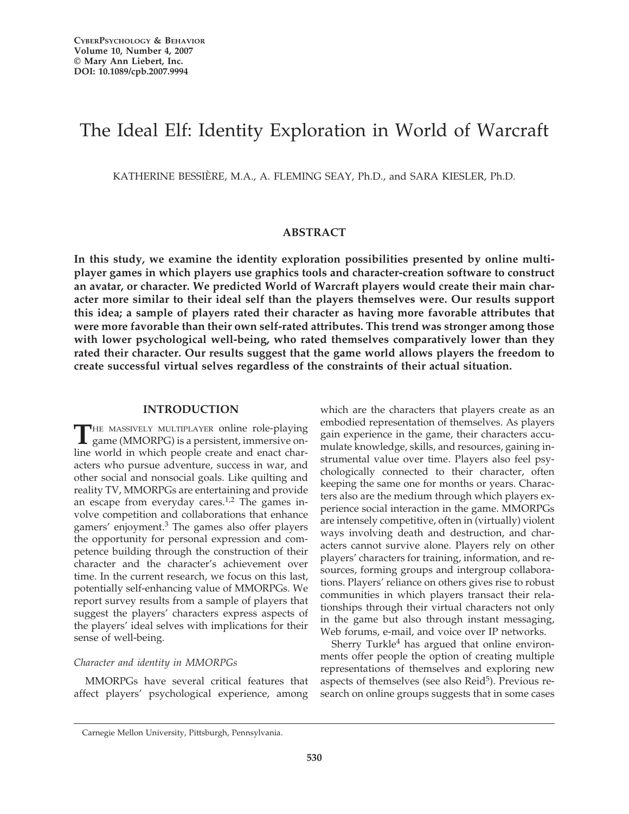# The Ideal Elf: Identity Exploration in World of Warcraft

KATHERINE BESSIÈRE, M.A., A. FLEMING SEAY, Ph.D., and SARA KIESLER, Ph.D.

## **ABSTRACT**

**In this study, we examine the identity exploration possibilities presented by online multiplayer games in which players use graphics tools and character-creation software to construct an avatar, or character. We predicted World of Warcraft players would create their main character more similar to their ideal self than the players themselves were. Our results support this idea; a sample of players rated their character as having more favorable attributes that were more favorable than their own self-rated attributes. This trend was stronger among those with lower psychological well-being, who rated themselves comparatively lower than they rated their character. Our results suggest that the game world allows players the freedom to create successful virtual selves regardless of the constraints of their actual situation.**

## **INTRODUCTION**

THE MASSIVELY MULTIPLAYER online role-playing<br>game (MMORPG) is a persistent, immersive online world in which people create and enact characters who pursue adventure, success in war, and other social and nonsocial goals. Like quilting and reality TV, MMORPGs are entertaining and provide an escape from everyday cares.<sup>1,2</sup> The games involve competition and collaborations that enhance gamers' enjoyment.3 The games also offer players the opportunity for personal expression and competence building through the construction of their character and the character's achievement over time. In the current research, we focus on this last, potentially self-enhancing value of MMORPGs. We report survey results from a sample of players that suggest the players' characters express aspects of the players' ideal selves with implications for their sense of well-being.

## *Character and identity in MMORPGs*

MMORPGs have several critical features that affect players' psychological experience, among

which are the characters that players create as an embodied representation of themselves. As players gain experience in the game, their characters accumulate knowledge, skills, and resources, gaining instrumental value over time. Players also feel psychologically connected to their character, often keeping the same one for months or years. Characters also are the medium through which players experience social interaction in the game. MMORPGs are intensely competitive, often in (virtually) violent ways involving death and destruction, and characters cannot survive alone. Players rely on other players' characters for training, information, and resources, forming groups and intergroup collaborations. Players' reliance on others gives rise to robust communities in which players transact their relationships through their virtual characters not only in the game but also through instant messaging, Web forums, e-mail, and voice over IP networks.

Sherry Turkle $4$  has argued that online environments offer people the option of creating multiple representations of themselves and exploring new aspects of themselves (see also  $\text{Reid}^5$ ). Previous research on online groups suggests that in some cases

Carnegie Mellon University, Pittsburgh, Pennsylvania.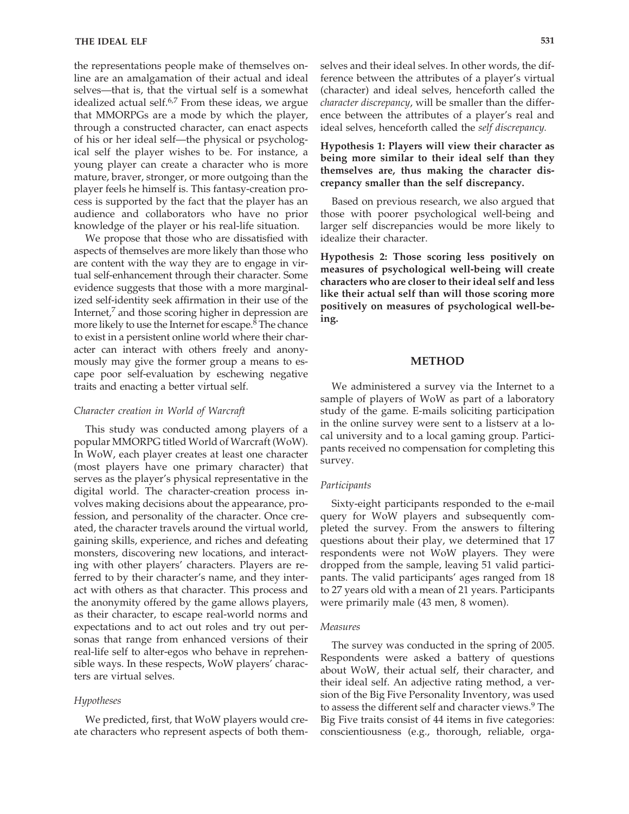the representations people make of themselves online are an amalgamation of their actual and ideal selves—that is, that the virtual self is a somewhat idealized actual self.<sup>6,7</sup> From these ideas, we argue that MMORPGs are a mode by which the player, through a constructed character, can enact aspects of his or her ideal self—the physical or psychological self the player wishes to be. For instance, a young player can create a character who is more mature, braver, stronger, or more outgoing than the player feels he himself is. This fantasy-creation process is supported by the fact that the player has an audience and collaborators who have no prior knowledge of the player or his real-life situation.

We propose that those who are dissatisfied with aspects of themselves are more likely than those who are content with the way they are to engage in virtual self-enhancement through their character. Some evidence suggests that those with a more marginalized self-identity seek affirmation in their use of the Internet, $<sup>7</sup>$  and those scoring higher in depression are</sup> more likely to use the Internet for escape.<sup>8</sup> The chance to exist in a persistent online world where their character can interact with others freely and anonymously may give the former group a means to escape poor self-evaluation by eschewing negative traits and enacting a better virtual self.

#### *Character creation in World of Warcraft*

This study was conducted among players of a popular MMORPG titled World of Warcraft (WoW). In WoW, each player creates at least one character (most players have one primary character) that serves as the player's physical representative in the digital world. The character-creation process involves making decisions about the appearance, profession, and personality of the character. Once created, the character travels around the virtual world, gaining skills, experience, and riches and defeating monsters, discovering new locations, and interacting with other players' characters. Players are referred to by their character's name, and they interact with others as that character. This process and the anonymity offered by the game allows players, as their character, to escape real-world norms and expectations and to act out roles and try out personas that range from enhanced versions of their real-life self to alter-egos who behave in reprehensible ways. In these respects, WoW players' characters are virtual selves.

#### *Hypotheses*

We predicted, first, that WoW players would create characters who represent aspects of both themselves and their ideal selves. In other words, the difference between the attributes of a player's virtual (character) and ideal selves, henceforth called the *character discrepancy*, will be smaller than the difference between the attributes of a player's real and ideal selves, henceforth called the *self discrepancy.*

# **Hypothesis 1: Players will view their character as being more similar to their ideal self than they themselves are, thus making the character discrepancy smaller than the self discrepancy.**

Based on previous research, we also argued that those with poorer psychological well-being and larger self discrepancies would be more likely to idealize their character.

**Hypothesis 2: Those scoring less positively on measures of psychological well-being will create characters who are closer to their ideal self and less like their actual self than will those scoring more positively on measures of psychological well-being.**

# **METHOD**

We administered a survey via the Internet to a sample of players of WoW as part of a laboratory study of the game. E-mails soliciting participation in the online survey were sent to a listserv at a local university and to a local gaming group. Participants received no compensation for completing this survey.

#### *Participants*

Sixty-eight participants responded to the e-mail query for WoW players and subsequently completed the survey. From the answers to filtering questions about their play, we determined that 17 respondents were not WoW players. They were dropped from the sample, leaving 51 valid participants. The valid participants' ages ranged from 18 to 27 years old with a mean of 21 years. Participants were primarily male (43 men, 8 women).

#### *Measures*

The survey was conducted in the spring of 2005. Respondents were asked a battery of questions about WoW, their actual self, their character, and their ideal self. An adjective rating method, a version of the Big Five Personality Inventory, was used to assess the different self and character views.<sup>9</sup> The Big Five traits consist of 44 items in five categories: conscientiousness (e.g., thorough, reliable, orga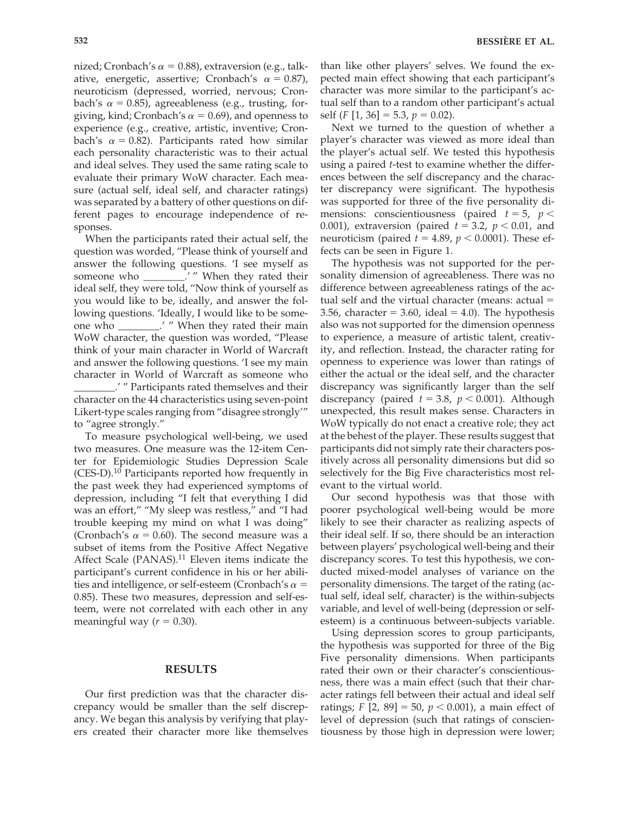nized; Cronbach's  $\alpha$  = 0.88), extraversion (e.g., talkative, energetic, assertive; Cronbach's  $\alpha = 0.87$ ), neuroticism (depressed, worried, nervous; Cronbach's  $\alpha$  = 0.85), agreeableness (e.g., trusting, forgiving, kind; Cronbach's  $\alpha = 0.69$ ), and openness to experience (e.g., creative, artistic, inventive; Cronbach's  $\alpha$  = 0.82). Participants rated how similar each personality characteristic was to their actual and ideal selves. They used the same rating scale to evaluate their primary WoW character. Each measure (actual self, ideal self, and character ratings) was separated by a battery of other questions on different pages to encourage independence of responses.

When the participants rated their actual self, the question was worded, "Please think of yourself and answer the following questions. 'I see myself as someone who \_\_\_\_\_\_\_\_.' " When they rated their ideal self, they were told, "Now think of yourself as you would like to be, ideally, and answer the following questions. 'Ideally, I would like to be someone who \_\_\_\_\_\_\_\_.' " When they rated their main WoW character, the question was worded, "Please think of your main character in World of Warcraft and answer the following questions. 'I see my main character in World of Warcraft as someone who \_\_\_\_\_\_\_\_.' " Participants rated themselves and their character on the 44 characteristics using seven-point Likert-type scales ranging from "disagree strongly'" to "agree strongly."

To measure psychological well-being, we used two measures. One measure was the 12-item Center for Epidemiologic Studies Depression Scale (CES-D).10 Participants reported how frequently in the past week they had experienced symptoms of depression, including "I felt that everything I did was an effort," "My sleep was restless," and "I had trouble keeping my mind on what I was doing" (Cronbach's  $\alpha$  = 0.60). The second measure was a subset of items from the Positive Affect Negative Affect Scale (PANAS).<sup>11</sup> Eleven items indicate the participant's current confidence in his or her abilities and intelligence, or self-esteem (Cronbach's  $\alpha$  = 0.85). These two measures, depression and self-esteem, were not correlated with each other in any meaningful way  $(r = 0.30)$ .

## **RESULTS**

Our first prediction was that the character discrepancy would be smaller than the self discrepancy. We began this analysis by verifying that players created their character more like themselves

than like other players' selves. We found the expected main effect showing that each participant's character was more similar to the participant's actual self than to a random other participant's actual self (*F*  $[1, 36] = 5.3$ ,  $p = 0.02$ ).

Next we turned to the question of whether a player's character was viewed as more ideal than the player's actual self. We tested this hypothesis using a paired *t*-test to examine whether the differences between the self discrepancy and the character discrepancy were significant. The hypothesis was supported for three of the five personality dimensions: conscientiousness (paired  $t = 5$ ,  $p <$ 0.001), extraversion (paired  $t = 3.2$ ,  $p < 0.01$ , and neuroticism (paired  $t = 4.89$ ,  $p < 0.0001$ ). These effects can be seen in Figure 1.

The hypothesis was not supported for the personality dimension of agreeableness. There was no difference between agreeableness ratings of the actual self and the virtual character (means: actual  $=$ 3.56, character  $= 3.60$ , ideal  $= 4.0$ ). The hypothesis also was not supported for the dimension openness to experience, a measure of artistic talent, creativity, and reflection. Instead, the character rating for openness to experience was lower than ratings of either the actual or the ideal self, and the character discrepancy was significantly larger than the self discrepancy (paired  $t = 3.8$ ,  $p < 0.001$ ). Although unexpected, this result makes sense. Characters in WoW typically do not enact a creative role; they act at the behest of the player. These results suggest that participants did not simply rate their characters positively across all personality dimensions but did so selectively for the Big Five characteristics most relevant to the virtual world.

Our second hypothesis was that those with poorer psychological well-being would be more likely to see their character as realizing aspects of their ideal self. If so, there should be an interaction between players' psychological well-being and their discrepancy scores. To test this hypothesis, we conducted mixed-model analyses of variance on the personality dimensions. The target of the rating (actual self, ideal self, character) is the within-subjects variable, and level of well-being (depression or selfesteem) is a continuous between-subjects variable.

Using depression scores to group participants, the hypothesis was supported for three of the Big Five personality dimensions. When participants rated their own or their character's conscientiousness, there was a main effect (such that their character ratings fell between their actual and ideal self ratings; *F* [2, 89] = 50,  $p < 0.001$ ), a main effect of level of depression (such that ratings of conscientiousness by those high in depression were lower;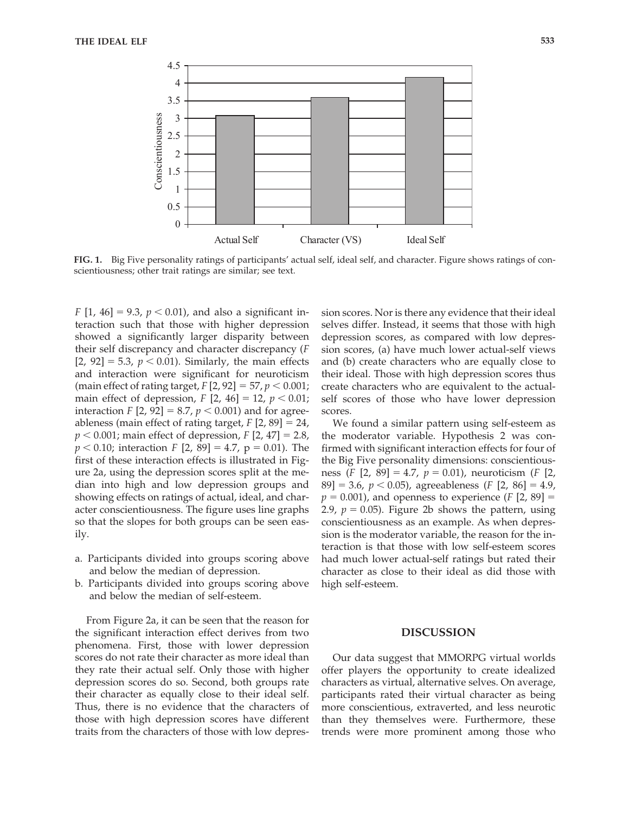

**FIG. 1.** Big Five personality ratings of participants' actual self, ideal self, and character. Figure shows ratings of conscientiousness; other trait ratings are similar; see text.

*F* [1, 46] = 9.3,  $p < 0.01$ ), and also a significant interaction such that those with higher depression showed a significantly larger disparity between their self discrepancy and character discrepancy (*F*  $[2, 92] = 5.3, p < 0.01$ ). Similarly, the main effects and interaction were significant for neuroticism (main effect of rating target,  $F$  [2, 92] = 57,  $p$  < 0.001; main effect of depression, *F*  $[2, 46] = 12$ ,  $p < 0.01$ ; interaction *F* [2, 92] = 8.7,  $p < 0.001$ ) and for agreeableness (main effect of rating target,  $F$  [2, 89] = 24,  $p < 0.001$ ; main effect of depression, *F* [2, 47] = 2.8,  $p < 0.10$ ; interaction *F* [2, 89] = 4.7, p = 0.01). The first of these interaction effects is illustrated in Figure 2a, using the depression scores split at the median into high and low depression groups and showing effects on ratings of actual, ideal, and character conscientiousness. The figure uses line graphs so that the slopes for both groups can be seen easily.

- a. Participants divided into groups scoring above and below the median of depression.
- b. Participants divided into groups scoring above and below the median of self-esteem.

From Figure 2a, it can be seen that the reason for the significant interaction effect derives from two phenomena. First, those with lower depression scores do not rate their character as more ideal than they rate their actual self. Only those with higher depression scores do so. Second, both groups rate their character as equally close to their ideal self. Thus, there is no evidence that the characters of those with high depression scores have different traits from the characters of those with low depression scores. Nor is there any evidence that their ideal selves differ. Instead, it seems that those with high depression scores, as compared with low depression scores, (a) have much lower actual-self views and (b) create characters who are equally close to their ideal. Those with high depression scores thus create characters who are equivalent to the actualself scores of those who have lower depression scores.

We found a similar pattern using self-esteem as the moderator variable. Hypothesis 2 was confirmed with significant interaction effects for four of the Big Five personality dimensions: conscientiousness (*F* [2, 89] = 4.7,  $p = 0.01$ ), neuroticism (*F* [2,  $89$ ] = 3.6,  $p < 0.05$ ), agreeableness (*F* [2, 86] = 4.9,  $p = 0.001$ ), and openness to experience (*F* [2, 89] = 2.9,  $p = 0.05$ ). Figure 2b shows the pattern, using conscientiousness as an example. As when depression is the moderator variable, the reason for the interaction is that those with low self-esteem scores had much lower actual-self ratings but rated their character as close to their ideal as did those with high self-esteem.

# **DISCUSSION**

Our data suggest that MMORPG virtual worlds offer players the opportunity to create idealized characters as virtual, alternative selves. On average, participants rated their virtual character as being more conscientious, extraverted, and less neurotic than they themselves were. Furthermore, these trends were more prominent among those who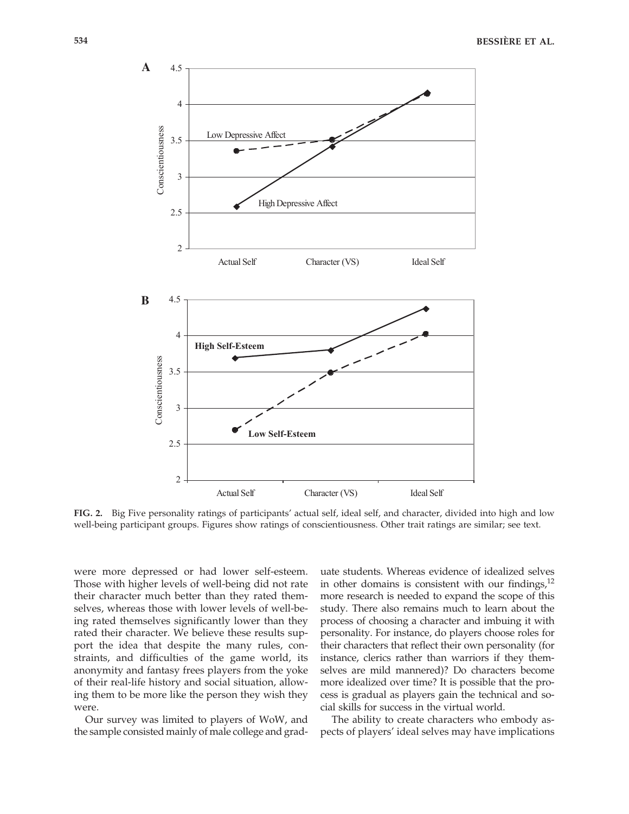

were more depressed or had lower self-esteem. Those with higher levels of well-being did not rate their character much better than they rated themselves, whereas those with lower levels of well-being rated themselves significantly lower than they rated their character. We believe these results support the idea that despite the many rules, constraints, and difficulties of the game world, its anonymity and fantasy frees players from the yoke of their real-life history and social situation, allowing them to be more like the person they wish they were.

Our survey was limited to players of WoW, and the sample consisted mainly of male college and grad-

uate students. Whereas evidence of idealized selves in other domains is consistent with our findings, $12$ more research is needed to expand the scope of this study. There also remains much to learn about the process of choosing a character and imbuing it with personality. For instance, do players choose roles for their characters that reflect their own personality (for instance, clerics rather than warriors if they themselves are mild mannered)? Do characters become more idealized over time? It is possible that the process is gradual as players gain the technical and social skills for success in the virtual world.

The ability to create characters who embody aspects of players' ideal selves may have implications